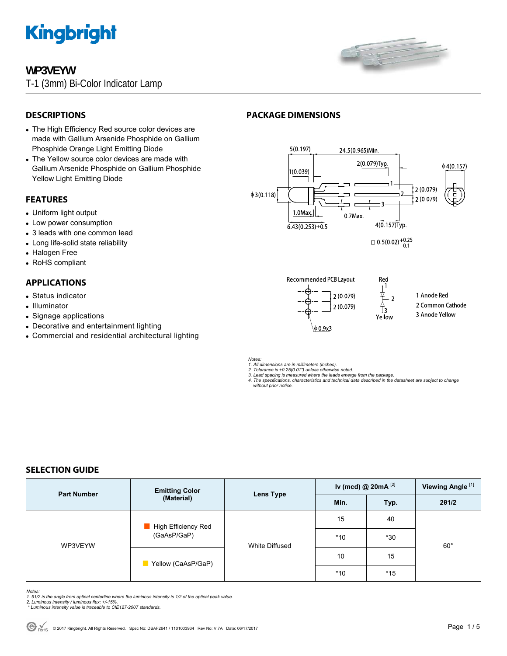

# **WP3VEYW**

T-1 (3mm) Bi-Color Indicator Lamp



## **DESCRIPTIONS**

- The High Efficiency Red source color devices are made with Gallium Arsenide Phosphide on Gallium Phosphide Orange Light Emitting Diode
- The Yellow source color devices are made with Gallium Arsenide Phosphide on Gallium Phosphide Yellow Light Emitting Diode

#### **FEATURES**

- Uniform light output
- Low power consumption
- 3 leads with one common lead
- Long life-solid state reliability
- Halogen Free
- RoHS compliant

# **APPLICATIONS**

- Status indicator
- Illuminator
- Signage applications
- Decorative and entertainment lighting
- Commercial and residential architectural lighting

# **PACKAGE DIMENSIONS**



Red  $\mathbb{I}^1$ 

Ţ3

Yellow

 $\mathcal{D}$ 

**Recommended PCB Layout** 



- 1 Anode Red
- 2 Common Cathode
- 3 Anode Yellow

*Notes:* 

- *1. All dimensions are in millimeters (inches). 2. Tolerance is ±0.25(0.01") unless otherwise noted.*
- *3. Lead spacing is measured where the leads emerge from the package. 4. The specifications, characteristics and technical data described in the datasheet are subject to change*
- *without prior notice.*

# **SELECTION GUIDE**

| <b>Part Number</b> | <b>Emitting Color</b><br>(Material) | Lens Type      | Iv (mcd) @ $20mA$ <sup>[2]</sup> |       | Viewing Angle <sup>[1]</sup> |
|--------------------|-------------------------------------|----------------|----------------------------------|-------|------------------------------|
|                    |                                     |                | Min.                             | Typ.  | 201/2                        |
| WP3VEYW            | High Efficiency Red<br>(GaAsP/GaP)  | White Diffused | 15                               | 40    | $60^{\circ}$                 |
|                    |                                     |                | $*10$                            | $*30$ |                              |
|                    | Yellow (CaAsP/GaP)                  |                | 10                               | 15    |                              |
|                    |                                     |                | $*10$                            | $*15$ |                              |

*Notes:* 

- 1. 01/2 is the angle from optical centerline where the luminous intensity is 1/2 of the optical peak value.<br>2. Luminous intensity / luminous flux: +/-15%.<br>\* Luminous intensity value is traceable to CIE127-2007 standards.
-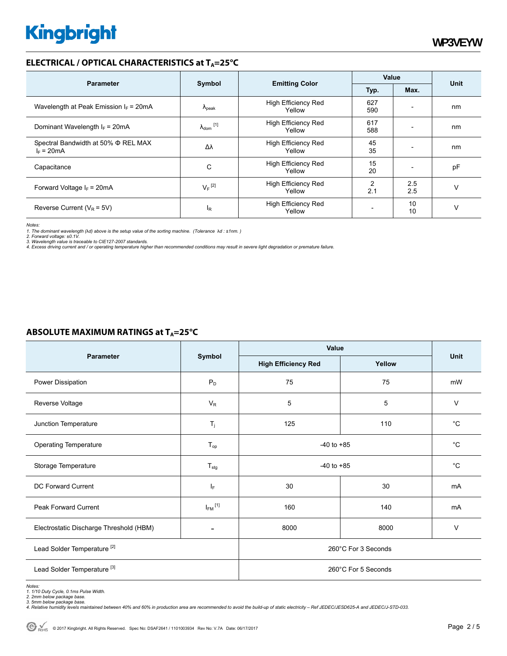## **ELECTRICAL / OPTICAL CHARACTERISTICS at T<sub>A</sub>=25°C**

|                                                     | Symbol                     |                                      | Value      |                          | <b>Unit</b> |
|-----------------------------------------------------|----------------------------|--------------------------------------|------------|--------------------------|-------------|
| <b>Parameter</b>                                    |                            | <b>Emitting Color</b>                | Typ.       | Max.                     |             |
| Wavelength at Peak Emission $I_F$ = 20mA            | $\Lambda_{\rm peak}$       | <b>High Efficiency Red</b><br>Yellow | 627<br>590 | $\overline{\phantom{0}}$ | nm          |
| Dominant Wavelength $I_F = 20 \text{mA}$            | $\lambda_{\text{dom}}$ [1] | <b>High Efficiency Red</b><br>Yellow | 617<br>588 |                          | nm          |
| Spectral Bandwidth at 50% Φ REL MAX<br>$I_F = 20mA$ | Δλ                         | <b>High Efficiency Red</b><br>Yellow | 45<br>35   |                          | nm          |
| Capacitance                                         | C                          | <b>High Efficiency Red</b><br>Yellow | 15<br>20   |                          | pF          |
| Forward Voltage $I_F$ = 20mA                        | $V_F$ <sup>[2]</sup>       | High Efficiency Red<br>Yellow        | 2<br>2.1   | 2.5<br>2.5               | v           |
| Reverse Current ( $V_R$ = 5V)                       | $\mathsf{I}_{\mathsf{R}}$  | High Efficiency Red<br>Yellow        |            | 10<br>10                 | ν           |

*Notes:* 

1. The dominant wavelength (λd) above is the setup value of the sorting machine. (Tolerance λd : ±1nm. )<br>2. Forward voltage: ±0.1V.<br>3. Wavelength value is traceable to CIE127-2007 standards.<br>4. Excess driving current and /

#### **ABSOLUTE MAXIMUM RATINGS at T<sub>A</sub>=25°C**

|                                         |                          | Value                      |        |             |  |
|-----------------------------------------|--------------------------|----------------------------|--------|-------------|--|
| <b>Parameter</b>                        | Symbol                   | <b>High Efficiency Red</b> | Yellow | <b>Unit</b> |  |
| Power Dissipation                       | $P_D$                    | 75                         | 75     | mW          |  |
| Reverse Voltage                         | $V_R$                    | 5                          | 5      | $\vee$      |  |
| Junction Temperature                    | $T_i$                    | 125                        | 110    | $^{\circ}C$ |  |
| <b>Operating Temperature</b>            | $T_{op}$                 | $-40$ to $+85$             |        | $^{\circ}C$ |  |
| Storage Temperature                     | $T_{\text{stg}}$         | $-40$ to $+85$             |        | $^{\circ}C$ |  |
| DC Forward Current                      | IF.                      | 30                         | 30     | mA          |  |
| Peak Forward Current                    | $I_{FM}$ <sup>[1]</sup>  | 160                        | 140    | mA          |  |
| Electrostatic Discharge Threshold (HBM) | $\overline{\phantom{a}}$ | 8000                       | 8000   | $\vee$      |  |
| Lead Solder Temperature <sup>[2]</sup>  |                          | 260°C For 3 Seconds        |        |             |  |
| Lead Solder Temperature <sup>[3]</sup>  |                          | 260°C For 5 Seconds        |        |             |  |

Notes:<br>1. 1/10 Duty Cycle, 0.1ms Pulse Width.<br>2. 2mm below package base.<br>4. Relative humidity levels maintained between 40% and 60% in production area are recommended to avoid the build-up of static electricity – Ref JEDEC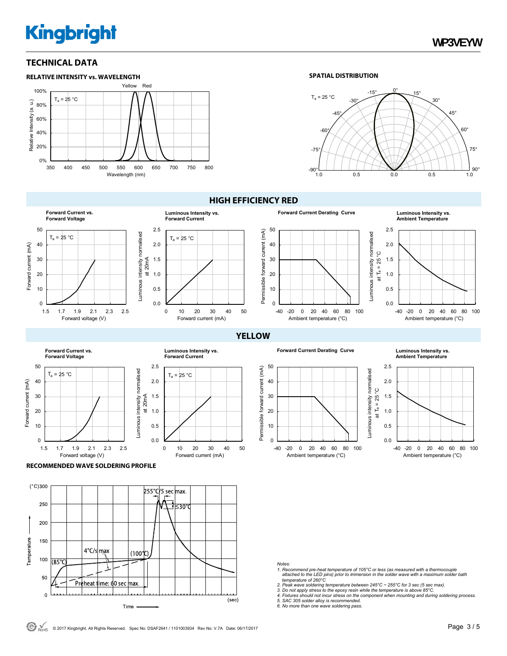# **Kingbright**

## **TECHNICAL DATA**



Luminous intensity normalised

uminous intensity normalised

#### **SPATIAL DISTRIBUTION**



**Forward Current vs. Forward Voltage** 50  $T_a = 25 °C$ 40 Forward current (mA) Forward current (mA) 30 20 10  $\Omega$ 

1.5 1.7 1.9 2.1 2.3 2.5

Forward voltage (V)

#### 0.0 0.5 1.0 1.5 2.0 2.5 0 10 20 30 40 50  $T_a = 25 °C$ at 20mA **Luminous Intensity vs. Forward Current**

Forward current (mA)

 $T_a = 25 °C$ 

**Luminous Intensity vs. Forward Current**

0 10 20 30 40 50

Forward current (mA)

50  $(mA)$ 

**HIGH EFFICIENCY RED**

**Forward Current Derating Curve Luminous Intensity vs. Ambient Temperature**



**YELLOW**

**Forward Current Derating Curve Luminous Intensity vs.** 



**Ambient Temperature**



**RECOMMENDED WAVE SOLDERING PROFILE** 

1.5 1.7 1.9 2.1 2.3 2.5

Forward voltage (V)

Forward current (mA)

Forward current (mA)

 $T_a = 25 °C$ 

**Forward Current vs. Forward Voltage**



 $0.0$ 0.5 1.0 1.5 2.0 2.5

Luminous intensity normalised at 20mA

Luminous intensity normalised

*Notes:* 

- *1. Recommend pre-heat temperature of 105°C or less (as measured with a thermocouple attached to the LED pins) prior to immersion in the solder wave with a maximum solder bath temperature of 260°C*
- 
- *2. Peak wave soldering temperature between 245°C ~ 255°C for 3 sec (5 sec max). 3. Do not apply stress to the epoxy resin while the temperature is above 85°C.*
- *4. Fixtures should not incur stress on the component when mounting and during soldering process. 5. SAC 305 solder alloy is recommended. 6. No more than one wave soldering pass.*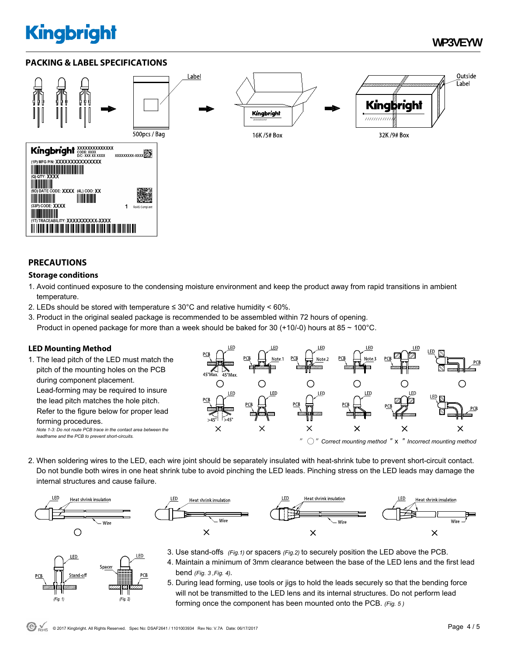# **Kingbright**

# **PACKING & LABEL SPECIFICATIONS**



## **PRECAUTIONS**

#### **Storage conditions**

- 1. Avoid continued exposure to the condensing moisture environment and keep the product away from rapid transitions in ambient temperature.
- 2. LEDs should be stored with temperature  $\leq 30^{\circ}$ C and relative humidity < 60%.
- 3. Product in the original sealed package is recommended to be assembled within 72 hours of opening. Product in opened package for more than a week should be baked for 30 (+10/-0) hours at 85  $\sim$  100 $^{\circ}$ C.

## **LED Mounting Method**

1. The lead pitch of the LED must match the pitch of the mounting holes on the PCB during component placement. Lead-forming may be required to insure the lead pitch matches the hole pitch. Refer to the figure below for proper lead forming procedures. *Note 1-3: Do not route PCB trace in the contact area between the leadframe and the PCB to prevent short-circuits.* 



2. When soldering wires to the LED, each wire joint should be separately insulated with heat-shrink tube to prevent short-circuit contact. Do not bundle both wires in one heat shrink tube to avoid pinching the LED leads. Pinching stress on the LED leads may damage the internal structures and cause failure.



LED

 $(Fig. 1)$ 

Spacer

 $\nabla$ 

 $(Fig. 2)$ 



- 3. Use stand-offs *(Fig.1)* or spacers *(Fig.2)* to securely position the LED above the PCB.
- 4. Maintain a minimum of 3mm clearance between the base of the LED lens and the first lead bend *(Fig. 3 ,Fig. 4).*
- 5. During lead forming, use tools or jigs to hold the leads securely so that the bending force will not be transmitted to the LED lens and its internal structures. Do not perform lead forming once the component has been mounted onto the PCB. *(Fig. 5 )*

LED